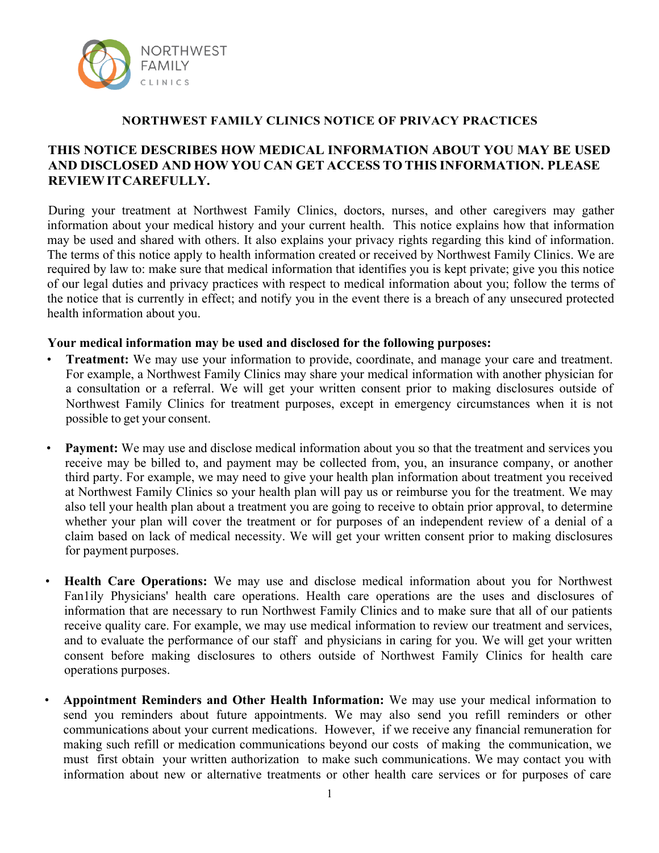

#### **NORTHWEST FAMILY CLINICS NOTICE OF PRIVACY PRACTICES**

# **THIS NOTICE DESCRIBES HOW MEDICAL INFORMATION ABOUT YOU MAY BE USED AND DISCLOSED AND HOW YOU CAN GET ACCESS TO THIS INFORMATION. PLEASE REVIEWITCAREFULLY.**

During your treatment at Northwest Family Clinics, doctors, nurses, and other caregivers may gather information about your medical history and your current health. This notice explains how that information may be used and shared with others. It also explains your privacy rights regarding this kind of information. The terms of this notice apply to health information created or received by Northwest Family Clinics. We are required by law to: make sure that medical information that identifies you is kept private; give you this notice of our legal duties and privacy practices with respect to medical information about you; follow the terms of the notice that is currently in effect; and notify you in the event there is a breach of any unsecured protected health information about you.

### **Your medical information may be used and disclosed for the following purposes:**

- **Treatment:** We may use your information to provide, coordinate, and manage your care and treatment. For example, a Northwest Family Clinics may share your medical information with another physician for a consultation or a referral. We will get your written consent prior to making disclosures outside of Northwest Family Clinics for treatment purposes, except in emergency circumstances when it is not possible to get your consent.
- **Payment:** We may use and disclose medical information about you so that the treatment and services you receive may be billed to, and payment may be collected from, you, an insurance company, or another third party. For example, we may need to give your health plan information about treatment you received at Northwest Family Clinics so your health plan will pay us or reimburse you for the treatment. We may also tell your health plan about a treatment you are going to receive to obtain prior approval, to determine whether your plan will cover the treatment or for purposes of an independent review of a denial of a claim based on lack of medical necessity. We will get your written consent prior to making disclosures for payment purposes.
- **Health Care Operations:** We may use and disclose medical information about you for Northwest Fan1ily Physicians' health care operations. Health care operations are the uses and disclosures of information that are necessary to run Northwest Family Clinics and to make sure that all of our patients receive quality care. For example, we may use medical information to review our treatment and services, and to evaluate the performance of our staff and physicians in caring for you. We will get your written consent before making disclosures to others outside of Northwest Family Clinics for health care operations purposes.
- **Appointment Reminders and Other Health Information:** We may use your medical information to send you reminders about future appointments. We may also send you refill reminders or other communications about your current medications. However, if we receive any financial remuneration for making such refill or medication communications beyond our costs of making the communication, we must first obtain your written authorization to make such communications. We may contact you with information about new or alternative treatments or other health care services or for purposes of care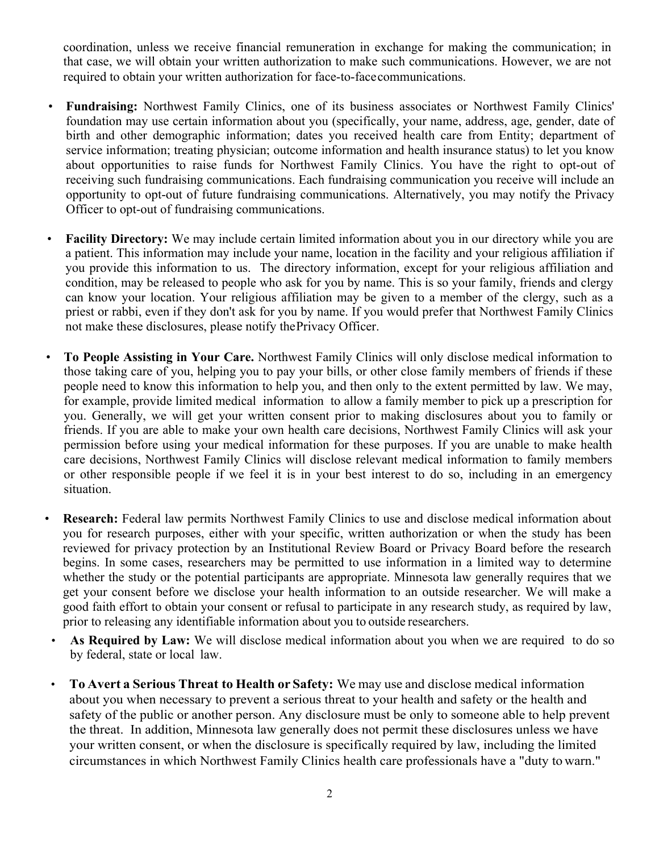coordination, unless we receive financial remuneration in exchange for making the communication; in that case, we will obtain your written authorization to make such communications. However, we are not required to obtain your written authorization for face-to-facecommunications.

- **Fundraising:** Northwest Family Clinics, one of its business associates or Northwest Family Clinics' foundation may use certain information about you (specifically, your name, address, age, gender, date of birth and other demographic information; dates you received health care from Entity; department of service information; treating physician; outcome information and health insurance status) to let you know about opportunities to raise funds for Northwest Family Clinics. You have the right to opt-out of receiving such fundraising communications. Each fundraising communication you receive will include an opportunity to opt-out of future fundraising communications. Alternatively, you may notify the Privacy Officer to opt-out of fundraising communications.
- **Facility Directory:** We may include certain limited information about you in our directory while you are a patient. This information may include your name, location in the facility and your religious affiliation if you provide this information to us. The directory information, except for your religious affiliation and condition, may be released to people who ask for you by name. This is so your family, friends and clergy can know your location. Your religious affiliation may be given to a member of the clergy, such as a priest or rabbi, even if they don't ask for you by name. If you would prefer that Northwest Family Clinics not make these disclosures, please notify thePrivacy Officer.
- **To People Assisting in Your Care.** Northwest Family Clinics will only disclose medical information to those taking care of you, helping you to pay your bills, or other close family members of friends if these people need to know this information to help you, and then only to the extent permitted by law. We may, for example, provide limited medical information to allow a family member to pick up a prescription for you. Generally, we will get your written consent prior to making disclosures about you to family or friends. If you are able to make your own health care decisions, Northwest Family Clinics will ask your permission before using your medical information for these purposes. If you are unable to make health care decisions, Northwest Family Clinics will disclose relevant medical information to family members or other responsible people if we feel it is in your best interest to do so, including in an emergency situation.
- **Research:** Federal law permits Northwest Family Clinics to use and disclose medical information about you for research purposes, either with your specific, written authorization or when the study has been reviewed for privacy protection by an Institutional Review Board or Privacy Board before the research begins. In some cases, researchers may be permitted to use information in a limited way to determine whether the study or the potential participants are appropriate. Minnesota law generally requires that we get your consent before we disclose your health information to an outside researcher. We will make a good faith effort to obtain your consent or refusal to participate in any research study, as required by law, prior to releasing any identifiable information about you to outside researchers.
	- As Required by Law: We will disclose medical information about you when we are required to do so by federal, state or local law.
- **To Avert a Serious Threat to Health or Safety:** We may use and disclose medical information about you when necessary to prevent a serious threat to your health and safety or the health and safety of the public or another person. Any disclosure must be only to someone able to help prevent the threat. In addition, Minnesota law generally does not permit these disclosures unless we have your written consent, or when the disclosure is specifically required by law, including the limited circumstances in which Northwest Family Clinics health care professionals have a "duty to warn."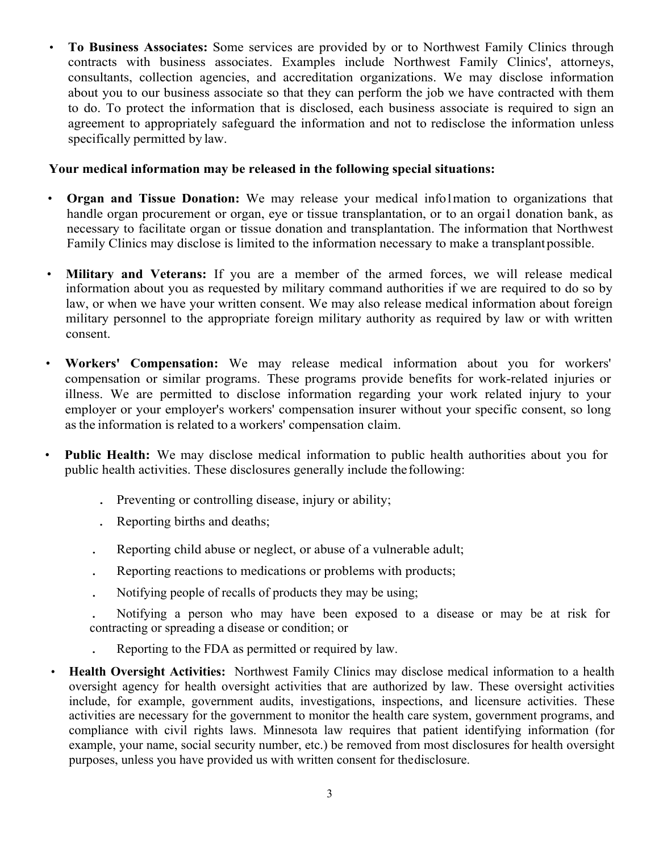• **To Business Associates:** Some services are provided by or to Northwest Family Clinics through contracts with business associates. Examples include Northwest Family Clinics', attorneys, consultants, collection agencies, and accreditation organizations. We may disclose information about you to our business associate so that they can perform the job we have contracted with them to do. To protect the information that is disclosed, each business associate is required to sign an agreement to appropriately safeguard the information and not to redisclose the information unless specifically permitted by law.

## **Your medical information may be released in the following special situations:**

- **Organ and Tissue Donation:** We may release your medical info1mation to organizations that handle organ procurement or organ, eye or tissue transplantation, or to an orgail donation bank, as necessary to facilitate organ or tissue donation and transplantation. The information that Northwest Family Clinics may disclose is limited to the information necessary to make a transplantpossible.
- **Military and Veterans:** If you are a member of the armed forces, we will release medical information about you as requested by military command authorities if we are required to do so by law, or when we have your written consent. We may also release medical information about foreign military personnel to the appropriate foreign military authority as required by law or with written consent.
- **Workers' Compensation:** We may release medical information about you for workers' compensation or similar programs. These programs provide benefits for work-related injuries or illness. We are permitted to disclose information regarding your work related injury to your employer or your employer's workers' compensation insurer without your specific consent, so long asthe information is related to a workers' compensation claim.
- **Public Health:** We may disclose medical information to public health authorities about you for public health activities. These disclosures generally include thefollowing:
	- . Preventing or controlling disease, injury or ability;
	- . Reporting births and deaths;
	- . Reporting child abuse or neglect, or abuse of a vulnerable adult;
	- . Reporting reactions to medications or problems with products;
	- . Notifying people of recalls of products they may be using;
	- . Notifying a person who may have been exposed to a disease or may be at risk for contracting or spreading a disease or condition; or
	- . Reporting to the FDA as permitted or required by law.
	- **Health Oversight Activities:** Northwest Family Clinics may disclose medical information to a health oversight agency for health oversight activities that are authorized by law. These oversight activities include, for example, government audits, investigations, inspections, and licensure activities. These activities are necessary for the government to monitor the health care system, government programs, and compliance with civil rights laws. Minnesota law requires that patient identifying information (for example, your name, social security number, etc.) be removed from most disclosures for health oversight purposes, unless you have provided us with written consent for thedisclosure.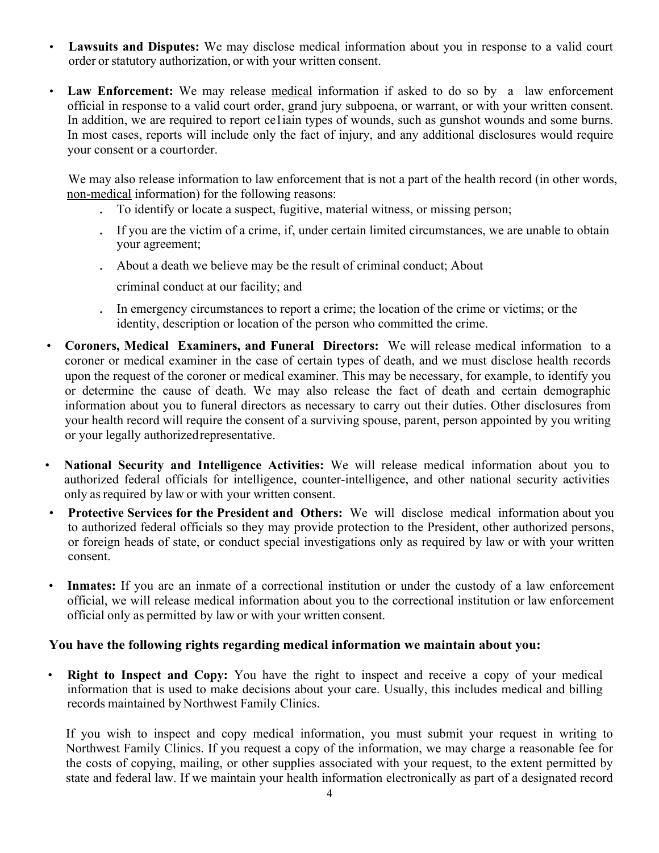- **Lawsuits and Disputes:** We may disclose medical information about you in response to a valid court order orstatutory authorization, or with your written consent.
- Law Enforcement: We may release medical information if asked to do so by a law enforcement official in response to a valid court order, grand jury subpoena, or warrant, or with your written consent. In addition, we are required to report ce1iain types of wounds, such as gunshot wounds and some burns. In most cases, reports will include only the fact of injury, and any additional disclosures would require your consent or a courtorder.

We may also release information to law enforcement that is not a part of the health record (in other words, non-medical information) for the following reasons:

- . To identify or locate a suspect, fugitive, material witness, or missing person;
- . If you are the victim of a crime, if, under certain limited circumstances, we are unable to obtain your agreement;
- . About a death we believe may be the result of criminal conduct; About
	- criminal conduct at our facility; and
- . In emergency circumstances to report a crime; the location of the crime or victims; or the identity, description or location of the person who committed the crime.
- **Coroners, Medical Examiners, and Funeral Directors:** We will release medical information to a coroner or medical examiner in the case of certain types of death, and we must disclose health records upon the request of the coroner or medical examiner. This may be necessary, for example, to identify you or determine the cause of death. We may also release the fact of death and certain demographic information about you to funeral directors as necessary to carry out their duties. Other disclosures from your health record will require the consent of a surviving spouse, parent, person appointed by you writing or your legally authorizedrepresentative.
- **National Security and Intelligence Activities:** We will release medical information about you to authorized federal officials for intelligence, counter-intelligence, and other national security activities only asrequired by law or with your written consent.
- **Protective Services for the President and Others:** We will disclose medical information about you to authorized federal officials so they may provide protection to the President, other authorized persons, or foreign heads of state, or conduct special investigations only as required by law or with your written consent.
- **Inmates:** If you are an inmate of a correctional institution or under the custody of a law enforcement official, we will release medical information about you to the correctional institution or law enforcement official only as permitted by law or with your written consent.

# **You have the following rights regarding medical information we maintain about you:**

• **Right to Inspect and Copy:** You have the right to inspect and receive a copy of your medical information that is used to make decisions about your care. Usually, this includes medical and billing records maintained byNorthwest Family Clinics.

If you wish to inspect and copy medical information, you must submit your request in writing to Northwest Family Clinics. If you request a copy of the information, we may charge a reasonable fee for the costs of copying, mailing, or other supplies associated with your request, to the extent permitted by state and federal law. If we maintain your health information electronically as part of a designated record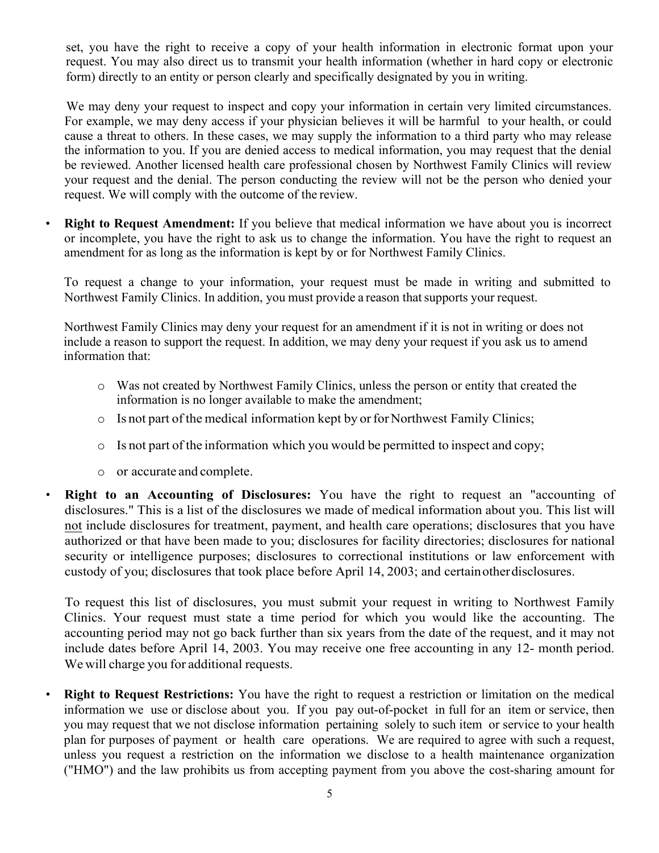set, you have the right to receive a copy of your health information in electronic format upon your request. You may also direct us to transmit your health information (whether in hard copy or electronic form) directly to an entity or person clearly and specifically designated by you in writing.

We may deny your request to inspect and copy your information in certain very limited circumstances. For example, we may deny access if your physician believes it will be harmful to your health, or could cause a threat to others. In these cases, we may supply the information to a third party who may release the information to you. If you are denied access to medical information, you may request that the denial be reviewed. Another licensed health care professional chosen by Northwest Family Clinics will review your request and the denial. The person conducting the review will not be the person who denied your request. We will comply with the outcome of the review.

• **Right to Request Amendment:** If you believe that medical information we have about you is incorrect or incomplete, you have the right to ask us to change the information. You have the right to request an amendment for as long as the information is kept by or for Northwest Family Clinics.

To request a change to your information, your request must be made in writing and submitted to Northwest Family Clinics. In addition, you must provide a reason that supports your request.

Northwest Family Clinics may deny your request for an amendment if it is not in writing or does not include a reason to support the request. In addition, we may deny your request if you ask us to amend information that:

- o Was not created by Northwest Family Clinics, unless the person or entity that created the information is no longer available to make the amendment;
- o Is not part of the medical information kept by or for Northwest Family Clinics;
- o Is not part of the information which you would be permitted to inspect and copy;
- o or accurate and complete.
- **Right to an Accounting of Disclosures:** You have the right to request an "accounting of disclosures." This is a list of the disclosures we made of medical information about you. This list will not include disclosures for treatment, payment, and health care operations; disclosures that you have authorized or that have been made to you; disclosures for facility directories; disclosures for national security or intelligence purposes; disclosures to correctional institutions or law enforcement with custody of you; disclosures that took place before April 14, 2003; and certainotherdisclosures.

To request this list of disclosures, you must submit your request in writing to Northwest Family Clinics. Your request must state a time period for which you would like the accounting. The accounting period may not go back further than six years from the date of the request, and it may not include dates before April 14, 2003. You may receive one free accounting in any 12- month period. We will charge you for additional requests.

• **Right to Request Restrictions:** You have the right to request a restriction or limitation on the medical information we use or disclose about you. If you pay out-of-pocket in full for an item or service, then you may request that we not disclose information pertaining solely to such item or service to your health plan for purposes of payment or health care operations. We are required to agree with such a request, unless you request a restriction on the information we disclose to a health maintenance organization ("HMO") and the law prohibits us from accepting payment from you above the cost-sharing amount for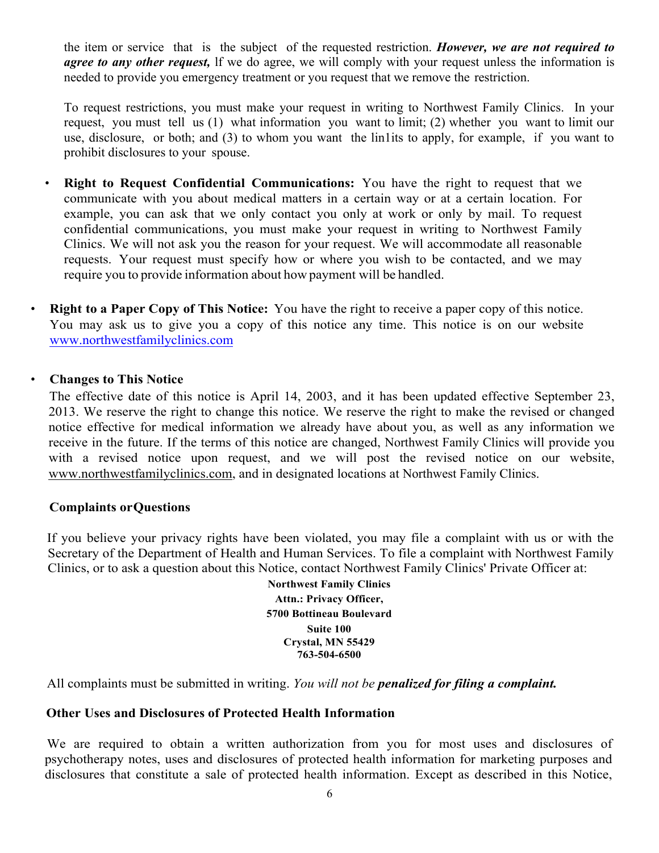the item or service that is the subject of the requested restriction. *However, we are not required to agree to any other request,* lf we do agree, we will comply with your request unless the information is needed to provide you emergency treatment or you request that we remove the restriction.

To request restrictions, you must make your request in writing to Northwest Family Clinics. In your request, you must tell us (1) what information you want to limit; (2) whether you want to limit our use, disclosure, or both; and (3) to whom you want the lin1its to apply, for example, if you want to prohibit disclosures to your spouse.

- **Right to Request Confidential Communications:** You have the right to request that we communicate with you about medical matters in a certain way or at a certain location. For example, you can ask that we only contact you only at work or only by mail. To request confidential communications, you must make your request in writing to Northwest Family Clinics. We will not ask you the reason for your request. We will accommodate all reasonable requests. Your request must specify how or where you wish to be contacted, and we may require you to provide information about how payment will be handled.
- **Right to a Paper Copy of This Notice:** You have the right to receive a paper copy of this notice. You may ask us to give you a copy of this notice any time. This notice is on our website [www.northwestfamilyclinics.com](http://www.northwestfamilyclinics.com)

# • **Changes to This Notice**

The effective date of this notice is April 14, 2003, and it has been updated effective September 23, 2013. We reserve the right to change this notice. We reserve the right to make the revised or changed notice effective for medical information we already have about you, as well as any information we receive in the future. If the terms of this notice are changed, Northwest Family Clinics will provide you with a revised notice upon request, and we will post the revised notice on our website, www.northwestfamilyclinics.com, and in designated locations at Northwest Family Clinics.

## **Complaints orQuestions**

If you believe your privacy rights have been violated, you may file a complaint with us or with the Secretary of the Department of Health and Human Services. To file a complaint with Northwest Family Clinics, or to ask a question about this Notice, contact Northwest Family Clinics' Private Officer at:

> **Northwest Family Clinics Attn.: Privacy Officer, 5700 Bottineau Boulevard Suite 100 Crystal, MN 55429 763-504-6500**

All complaints must be submitted in writing. *You will not be penalized for filing a complaint.*

### **Other Uses and Disclosures of Protected Health Information**

We are required to obtain a written authorization from you for most uses and disclosures of psychotherapy notes, uses and disclosures of protected health information for marketing purposes and disclosures that constitute a sale of protected health information. Except as described in this Notice,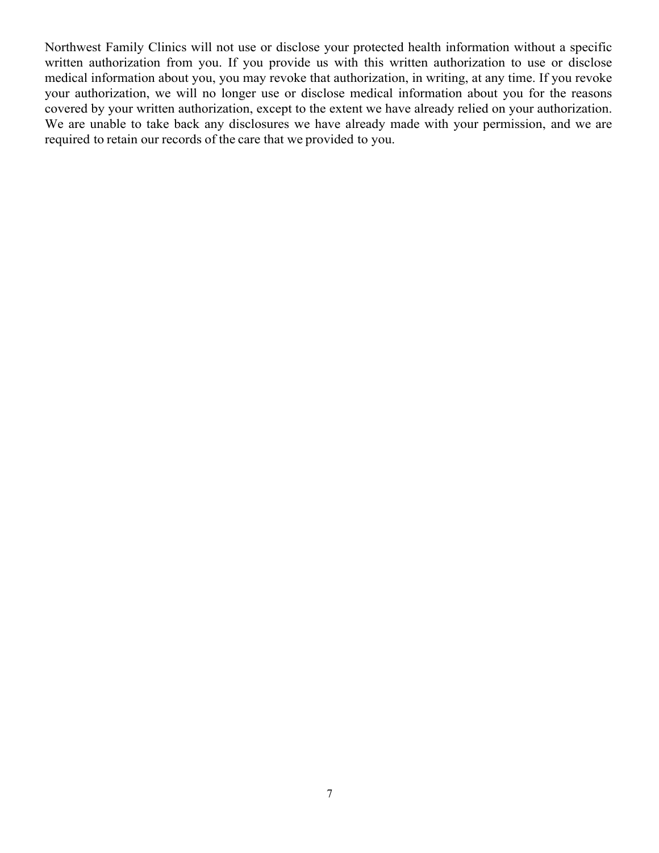Northwest Family Clinics will not use or disclose your protected health information without a specific written authorization from you. If you provide us with this written authorization to use or disclose medical information about you, you may revoke that authorization, in writing, at any time. If you revoke your authorization, we will no longer use or disclose medical information about you for the reasons covered by your written authorization, except to the extent we have already relied on your authorization. We are unable to take back any disclosures we have already made with your permission, and we are required to retain our records of the care that we provided to you.